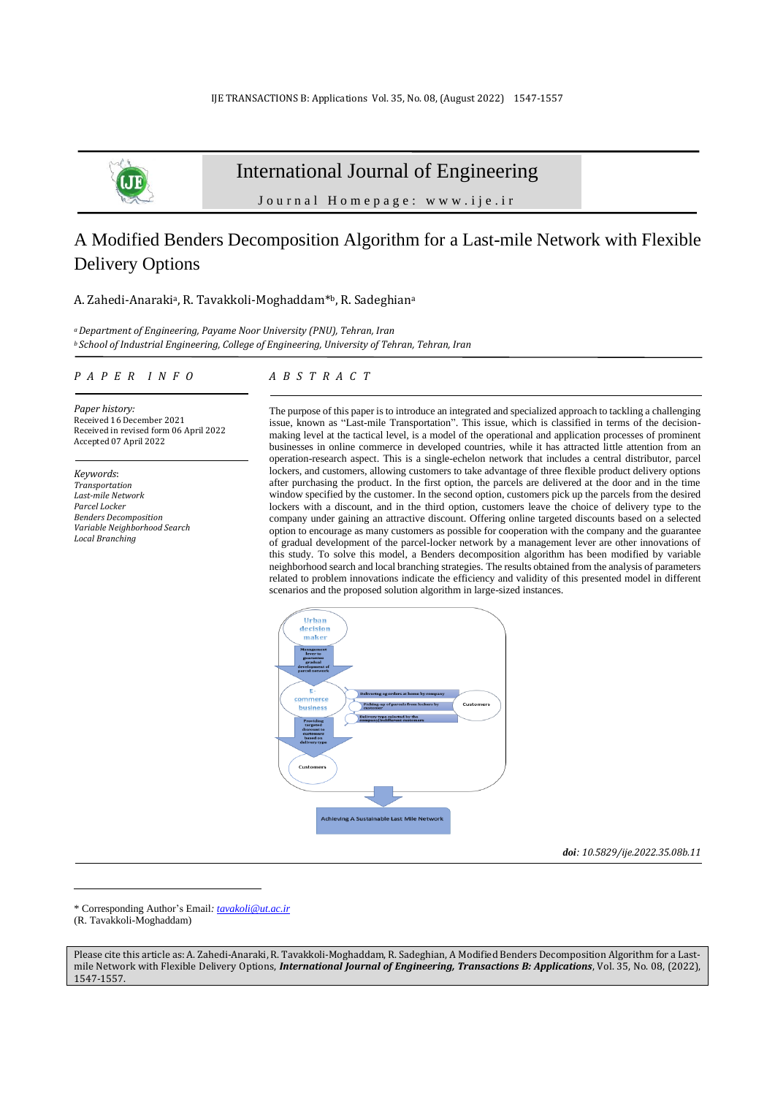

# International Journal of Engineering

Journal Homepage: www.ije.ir

# A Modified Benders Decomposition Algorithm for a Last-mile Network with Flexible Delivery Options

#### A. Zahedi-Anaraki<sup>a</sup>, R. Tavakkoli-Moghaddam<sup>\*b</sup>, R. Sadeghian<sup>a</sup>

*<sup>a</sup>Department of Engineering, Payame Noor University (PNU), Tehran, Iran <sup>b</sup> School of Industrial Engineering, College of Engineering, University of Tehran, Tehran, Iran*

#### *P A P E R I N F O*

*Paper history:* Received 16 December 2021 Received in revised form 06 April 2022 Accepted 07 April 2022

*Keywords*: *Transportation Last-mile Network Parcel Locker Benders Decomposition Variable Neighborhood Search Local Branching*

# *A B S T R A C T*

The purpose of this paper is to introduce an integrated and specialized approach to tackling a challenging issue, known as "Last-mile Transportation". This issue, which is classified in terms of the decisionmaking level at the tactical level, is a model of the operational and application processes of prominent businesses in online commerce in developed countries, while it has attracted little attention from an operation-research aspect. This is a single-echelon network that includes a central distributor, parcel lockers, and customers, allowing customers to take advantage of three flexible product delivery options after purchasing the product. In the first option, the parcels are delivered at the door and in the time window specified by the customer. In the second option, customers pick up the parcels from the desired lockers with a discount, and in the third option, customers leave the choice of delivery type to the company under gaining an attractive discount. Offering online targeted discounts based on a selected option to encourage as many customers as possible for cooperation with the company and the guarantee of gradual development of the parcel-locker network by a management lever are other innovations of this study. To solve this model, a Benders decomposition algorithm has been modified by variable neighborhood searchand local branching strategies. The results obtained from the analysis of parameters related to problem innovations indicate the efficiency and validity of this presented model in different scenarios and the proposed solution algorithm in large-sized instances.



*doi: 10.5829/ije.2022.35.08b.11*

\* Corresponding Author's Email*: [tavakoli@ut.ac.ir](mailto:tavakoli@ut.ac.ir)*

(R. Tavakkoli-Moghaddam)

Please cite this article as: A. Zahedi-Anaraki, R. Tavakkoli-Moghaddam, R. Sadeghian, A Modified Benders Decomposition Algorithm for a Lastmile Network with Flexible Delivery Options, *International Journal of Engineering, Transactions B: Applications*, Vol. 35, No. 08, (2022), 1547-1557.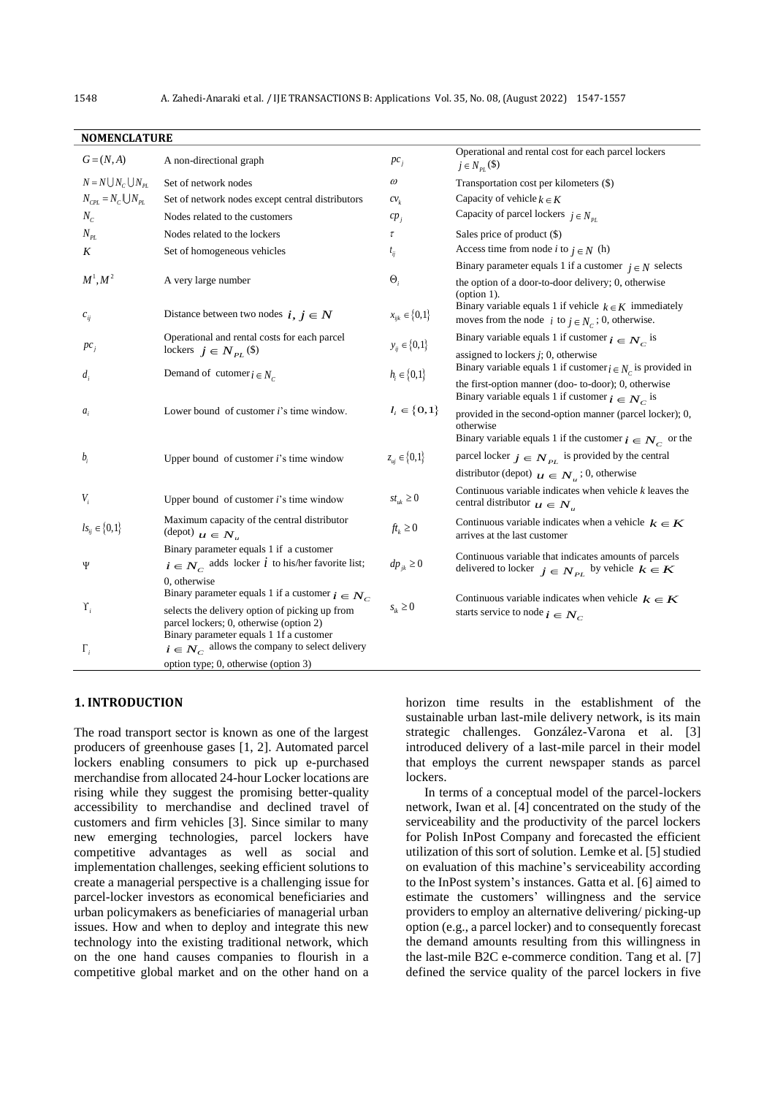| <b>NOMENCLATURE</b>                          |                                                                                                                                                                                           |                                           |                                                                                                                                      |  |  |  |  |
|----------------------------------------------|-------------------------------------------------------------------------------------------------------------------------------------------------------------------------------------------|-------------------------------------------|--------------------------------------------------------------------------------------------------------------------------------------|--|--|--|--|
| $G = (N, A)$                                 | A non-directional graph                                                                                                                                                                   | $pc_i$                                    | Operational and rental cost for each parcel lockers<br>$j \in N_{PL}(\mathbb{S})$                                                    |  |  |  |  |
| $N = N \bigcup N_c \bigcup N_{PL}$           | Set of network nodes                                                                                                                                                                      | $\omega$                                  | Transportation cost per kilometers (\$)                                                                                              |  |  |  |  |
| $N_{\text{CPL}} = N_c \bigcup N_{\text{PL}}$ | Set of network nodes except central distributors                                                                                                                                          | $cv_k$                                    | Capacity of vehicle $k \in K$                                                                                                        |  |  |  |  |
| $N_c$                                        | Nodes related to the customers                                                                                                                                                            | $cp_i$                                    | Capacity of parcel lockers $j \in N_{pr}$                                                                                            |  |  |  |  |
| $N_{PL}$                                     | Nodes related to the lockers                                                                                                                                                              | τ                                         | Sales price of product (\$)                                                                                                          |  |  |  |  |
| K                                            | Set of homogeneous vehicles                                                                                                                                                               | $t_{ij}$                                  | Access time from node <i>i</i> to $j \in N$ (h)                                                                                      |  |  |  |  |
|                                              |                                                                                                                                                                                           |                                           | Binary parameter equals 1 if a customer $j \in N$ selects                                                                            |  |  |  |  |
| $M^1, M^2$                                   | A very large number                                                                                                                                                                       | $\Theta_i$                                | the option of a door-to-door delivery; 0, otherwise<br>$\text{(option 1)}$ .                                                         |  |  |  |  |
| $c_{ii}$                                     | Distance between two nodes $i, j \in N$                                                                                                                                                   | $x_{ijk} \in \{0,1\}$                     | Binary variable equals 1 if vehicle $k \in K$ immediately<br>moves from the node <i>i</i> to $j \in N_c$ ; 0, otherwise.             |  |  |  |  |
|                                              | Operational and rental costs for each parcel                                                                                                                                              |                                           | Binary variable equals 1 if customer $i \in N_c$ is                                                                                  |  |  |  |  |
| $pc_i$                                       | lockers $j \in N_{PL}(\$)$<br>Demand of cutomer $i \in N_c$                                                                                                                               | $y_{ij} \in \{0,1\}$<br>$h_i \in \{0,1\}$ | assigned to lockers $j$ ; 0, otherwise<br>Binary variable equals 1 if customer $i \in N_c$ is provided in                            |  |  |  |  |
| $d_i$                                        |                                                                                                                                                                                           |                                           | the first-option manner (doo- to-door); 0, otherwise<br>Binary variable equals 1 if customer $i \in N_c$ is                          |  |  |  |  |
| $a_i$                                        | Lower bound of customer <i>i</i> 's time window.                                                                                                                                          | $l_i \in \{0,1\}$                         | provided in the second-option manner (parcel locker); 0,<br>otherwise<br>Binary variable equals 1 if the customer $i \in N_c$ or the |  |  |  |  |
| $b_i$                                        | Upper bound of customer <i>i</i> 's time window                                                                                                                                           | $z_{ui} \in \{0,1\}$                      | parcel locker $j \in N_{PL}$ is provided by the central                                                                              |  |  |  |  |
|                                              |                                                                                                                                                                                           |                                           | distributor (depot) $u \in N_u$ ; 0, otherwise                                                                                       |  |  |  |  |
| $V_i$                                        | Upper bound of customer $i$ 's time window                                                                                                                                                | $st_{uk} \geq 0$                          | Continuous variable indicates when vehicle $k$ leaves the<br>central distributor $u \in N_u$                                         |  |  |  |  |
| $ls_{ij} \in \{0,1\}$                        | Maximum capacity of the central distributor<br>$\left(\text{depth}\right)$ $u \in N_u$                                                                                                    | $ft_k \geq 0$                             | Continuous variable indicates when a vehicle $k \in K$<br>arrives at the last customer                                               |  |  |  |  |
| Ψ                                            | Binary parameter equals 1 if a customer<br>$i \in N_c$ adds locker <i>i</i> to his/her favorite list;<br>0, otherwise                                                                     | $dp_{ik} \geq 0$                          | Continuous variable that indicates amounts of parcels<br>delivered to locker $j \in N_{PL}$ by vehicle $k \in K$                     |  |  |  |  |
|                                              | Binary parameter equals 1 if a customer $i \in N_c$                                                                                                                                       |                                           | Continuous variable indicates when vehicle $k \in K$                                                                                 |  |  |  |  |
| $\Upsilon_i$<br>$\Gamma_i$                   | selects the delivery option of picking up from<br>parcel lockers; 0, otherwise (option 2)<br>Binary parameter equals 1 1f a customer<br>$i \in N_C$ allows the company to select delivery | $s_{ik} \geq 0$                           | starts service to node $i \in N_c$                                                                                                   |  |  |  |  |
|                                              | option type; 0, otherwise (option 3)                                                                                                                                                      |                                           |                                                                                                                                      |  |  |  |  |
|                                              |                                                                                                                                                                                           |                                           |                                                                                                                                      |  |  |  |  |

# **1. INTRODUCTION**

The road transport sector is known as one of the largest producers of greenhouse gases [1, 2]. Automated parcel lockers enabling consumers to pick up e-purchased merchandise from allocated 24-hour Locker locations are rising while they suggest the promising better-quality accessibility to merchandise and declined travel of customers and firm vehicles [3]. Since similar to many new emerging technologies, parcel lockers have competitive advantages as well as social and implementation challenges, seeking efficient solutions to create a managerial perspective is a challenging issue for parcel-locker investors as economical beneficiaries and urban policymakers as beneficiaries of managerial urban issues. How and when to deploy and integrate this new technology into the existing traditional network, which on the one hand causes companies to flourish in a competitive global market and on the other hand on a horizon time results in the establishment of the sustainable urban last-mile delivery network, is its main strategic challenges. González-Varona et al. [3] introduced delivery of a last-mile parcel in their model that employs the current newspaper stands as parcel lockers.

In terms of a conceptual model of the parcel-lockers network, Iwan et al. [4] concentrated on the study of the serviceability and the productivity of the parcel lockers for Polish InPost Company and forecasted the efficient utilization of this sort of solution. Lemke et al. [5] studied on evaluation of this machine's serviceability according to the InPost system's instances. Gatta et al. [6] aimed to estimate the customers' willingness and the service providers to employ an alternative delivering/ picking-up option (e.g., a parcel locker) and to consequently forecast the demand amounts resulting from this willingness in the last-mile B2C e-commerce condition. Tang et al. [7] defined the service quality of the parcel lockers in five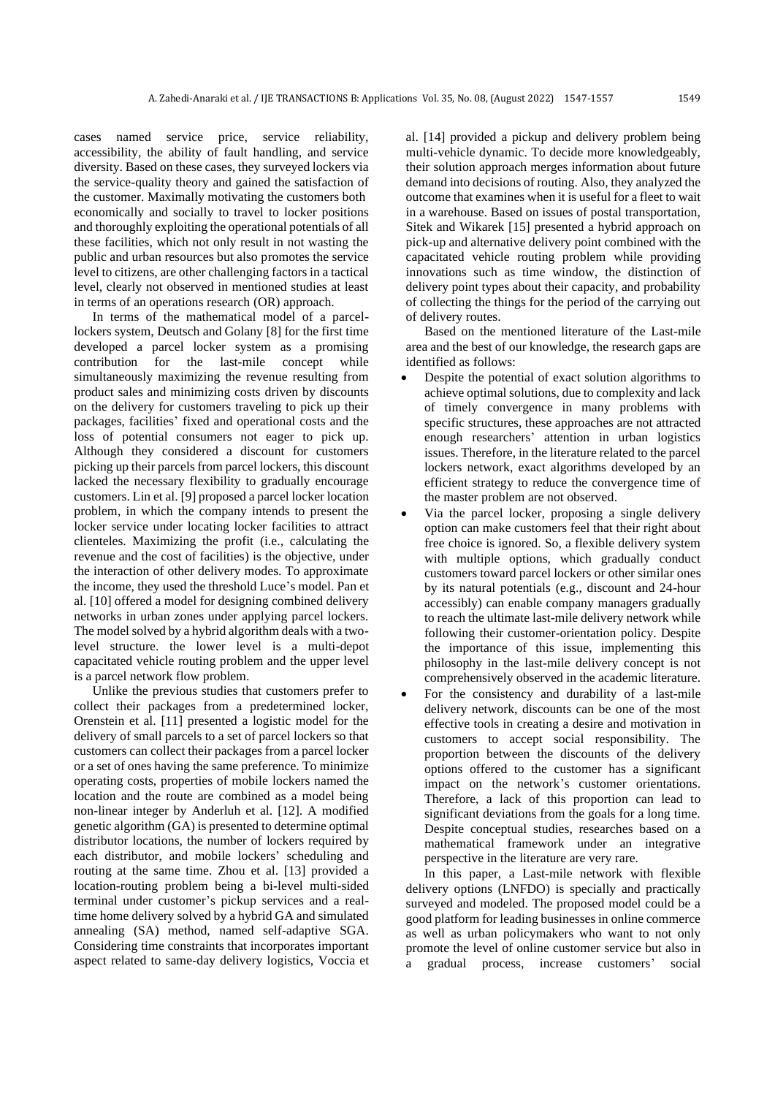cases named service price, service reliability, accessibility, the ability of fault handling, and service diversity. Based on these cases, they surveyed lockers via the service-quality theory and gained the satisfaction of the customer. Maximally motivating the customers both economically and socially to travel to locker positions and thoroughly exploiting the operational potentials of all these facilities, which not only result in not wasting the public and urban resources but also promotes the service level to citizens, are other challenging factors in a tactical level, clearly not observed in mentioned studies at least in terms of an operations research (OR) approach.

In terms of the mathematical model of a parcellockers system, Deutsch and Golany [8] for the first time developed a parcel locker system as a promising contribution for the last-mile concept while simultaneously maximizing the revenue resulting from product sales and minimizing costs driven by discounts on the delivery for customers traveling to pick up their packages, facilities' fixed and operational costs and the loss of potential consumers not eager to pick up. Although they considered a discount for customers picking up their parcels from parcel lockers, this discount lacked the necessary flexibility to gradually encourage customers. Lin et al. [9] proposed a parcel locker location problem, in which the company intends to present the locker service under locating locker facilities to attract clienteles. Maximizing the profit (i.e., calculating the revenue and the cost of facilities) is the objective, under the interaction of other delivery modes. To approximate the income, they used the threshold Luce's model. Pan et al. [10] offered a model for designing combined delivery networks in urban zones under applying parcel lockers. The model solved by a hybrid algorithm deals with a twolevel structure. the lower level is a multi-depot capacitated vehicle routing problem and the upper level is a parcel network flow problem.

Unlike the previous studies that customers prefer to collect their packages from a predetermined locker, Orenstein et al. [11] presented a logistic model for the delivery of small parcels to a set of parcel lockers so that customers can collect their packages from a parcel locker or a set of ones having the same preference. To minimize operating costs, properties of mobile lockers named the location and the route are combined as a model being non-linear integer by Anderluh et al. [12]. A modified genetic algorithm (GA) is presented to determine optimal distributor locations, the number of lockers required by each distributor, and mobile lockers' scheduling and routing at the same time. Zhou et al. [13] provided a location-routing problem being a bi-level multi-sided terminal under customer's pickup services and a realtime home delivery solved by a hybrid GA and simulated annealing (SA) method, named self-adaptive SGA. Considering time constraints that incorporates important aspect related to same-day delivery logistics, Voccia et al. [14] provided a pickup and delivery problem being multi-vehicle dynamic. To decide more knowledgeably, their solution approach merges information about future demand into decisions of routing. Also, they analyzed the outcome that examines when it is useful for a fleet to wait in a warehouse. Based on issues of postal transportation, Sitek and Wikarek [15] presented a hybrid approach on pick-up and alternative delivery point combined with the capacitated vehicle routing problem while providing innovations such as time window, the distinction of delivery point types about their capacity, and probability of collecting the things for the period of the carrying out of delivery routes.

Based on the mentioned literature of the Last-mile area and the best of our knowledge, the research gaps are identified as follows:

- Despite the potential of exact solution algorithms to achieve optimal solutions, due to complexity and lack of timely convergence in many problems with specific structures, these approaches are not attracted enough researchers' attention in urban logistics issues. Therefore, in the literature related to the parcel lockers network, exact algorithms developed by an efficient strategy to reduce the convergence time of the master problem are not observed.
- Via the parcel locker, proposing a single delivery option can make customers feel that their right about free choice is ignored. So, a flexible delivery system with multiple options, which gradually conduct customers toward parcel lockers or other similar ones by its natural potentials (e.g., discount and 24-hour accessibly) can enable company managers gradually to reach the ultimate last-mile delivery network while following their customer-orientation policy. Despite the importance of this issue, implementing this philosophy in the last-mile delivery concept is not comprehensively observed in the academic literature.
- For the consistency and durability of a last-mile delivery network, discounts can be one of the most effective tools in creating a desire and motivation in customers to accept social responsibility. The proportion between the discounts of the delivery options offered to the customer has a significant impact on the network's customer orientations. Therefore, a lack of this proportion can lead to significant deviations from the goals for a long time. Despite conceptual studies, researches based on a mathematical framework under an integrative perspective in the literature are very rare.

In this paper, a Last-mile network with flexible delivery options (LNFDO) is specially and practically surveyed and modeled. The proposed model could be a good platform for leading businesses in online commerce as well as urban policymakers who want to not only promote the level of online customer service but also in a gradual process, increase customers' social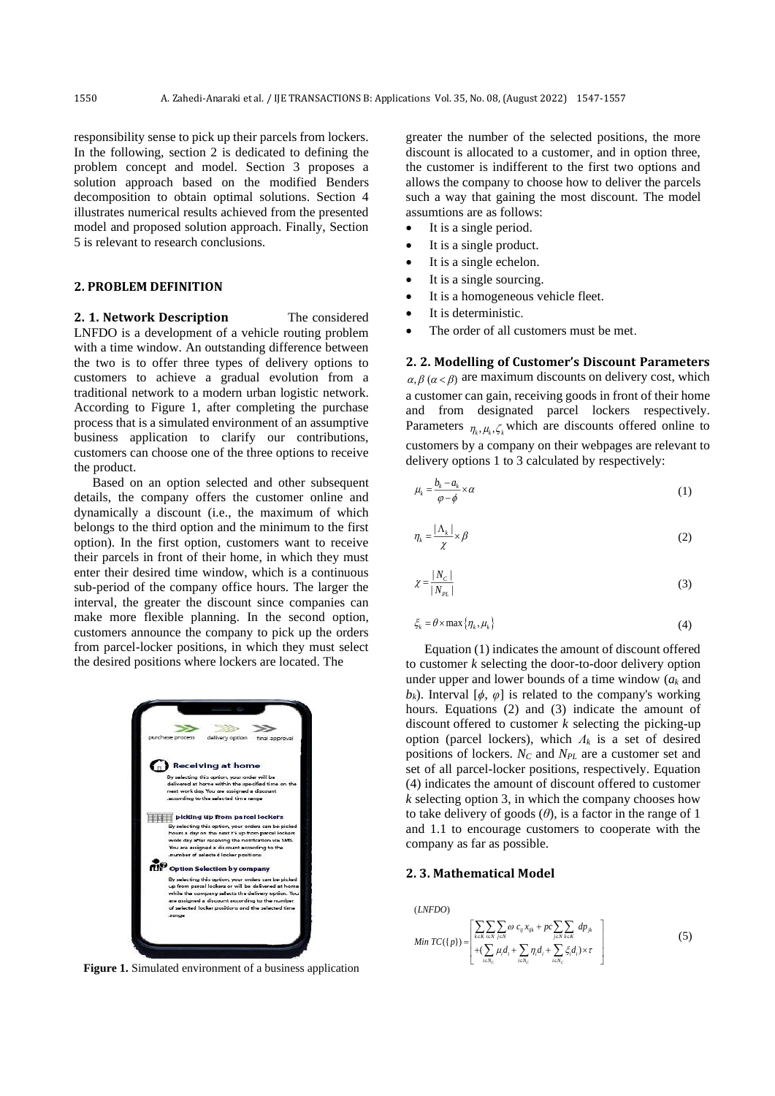responsibility sense to pick up their parcels from lockers. In the following, section 2 is dedicated to defining the problem concept and model. Section 3 proposes a solution approach based on the modified Benders decomposition to obtain optimal solutions. Section 4 illustrates numerical results achieved from the presented model and proposed solution approach. Finally, Section 5 is relevant to research conclusions.

### **2. PROBLEM DEFINITION**

**2. 1. Network Description** The considered LNFDO is a development of a vehicle routing problem with a time window. An outstanding difference between the two is to offer three types of delivery options to customers to achieve a gradual evolution from a traditional network to a modern urban logistic network. According to Figure 1, after completing the purchase process that is a simulated environment of an assumptive business application to clarify our contributions, customers can choose one of the three options to receive the product.

Based on an option selected and other subsequent details, the company offers the customer online and dynamically a discount (i.e., the maximum of which belongs to the third option and the minimum to the first option). In the first option, customers want to receive their parcels in front of their home, in which they must enter their desired time window, which is a continuous sub-period of the company office hours. The larger the interval, the greater the discount since companies can make more flexible planning. In the second option, customers announce the company to pick up the orders from parcel-locker positions, in which they must select the desired positions where lockers are located. The



**Figure 1.** Simulated environment of a business application

greater the number of the selected positions, the more discount is allocated to a customer, and in option three, the customer is indifferent to the first two options and allows the company to choose how to deliver the parcels such a way that gaining the most discount. The model assumtions are as follows:

- It is a single period.
- It is a single product.
- It is a single echelon.
- It is a single sourcing.
- It is a homogeneous vehicle fleet.
- It is deterministic.
- The order of all customers must be met.

**2. 2. Modelling of Customer's Discount Parameters**   $\alpha, \beta \ (\alpha < \beta)$  are maximum discounts on delivery cost, which a customer can gain, receiving goods in front of their home and from designated parcel lockers respectively. Parameters  $\eta_k, \mu_k, \zeta_k$  which are discounts offered online to customers by a company on their webpages are relevant to delivery options 1 to 3 calculated by respectively:

$$
\mu_k = \frac{b_k - a_k}{\varphi - \phi} \times \alpha \tag{1}
$$

$$
\eta_k = \frac{|\Lambda_k|}{\chi} \times \beta \tag{2}
$$

$$
\chi = \frac{|N_c|}{|N_{PL}|} \tag{3}
$$

$$
\xi_k = \theta \times \max \{ \eta_k, \mu_k \} \tag{4}
$$

Equation (1) indicates the amount of discount offered to customer *k* selecting the door-to-door delivery option under upper and lower bounds of a time window (*a<sup>k</sup>* and *b<sub>k</sub>*). Interval [ $\phi$ ,  $\varphi$ ] is related to the company's working hours. Equations (2) and (3) indicate the amount of discount offered to customer *k* selecting the picking-up option (parcel lockers), which *Λ<sup>k</sup>* is a set of desired positions of lockers. *N<sup>C</sup>* and *NPL* are a customer set and set of all parcel-locker positions, respectively. Equation (4) indicates the amount of discount offered to customer *k* selecting option 3, in which the company chooses how to take delivery of goods  $(\theta)$ , is a factor in the range of 1 and 1.1 to encourage customers to cooperate with the company as far as possible.

#### **2. 3. Mathematical Model**

 $( INFDO)$ 

$$
(LNFDO)
$$
\n
$$
Min TC(\lbrace p \rbrace) = \begin{bmatrix} \sum_{k \in K} \sum_{i \in N} \infty \alpha c_{ij} x_{ijk} + pc \sum_{j \in N} \sum_{k \in K} dp_{jk} \\ + (\sum_{i \in N_C} \mu_i d_i + \sum_{i \in N_C} \eta_i d_i + \sum_{i \in N_C} \xi_i d_i) \times r \end{bmatrix}
$$
\n
$$
(5)
$$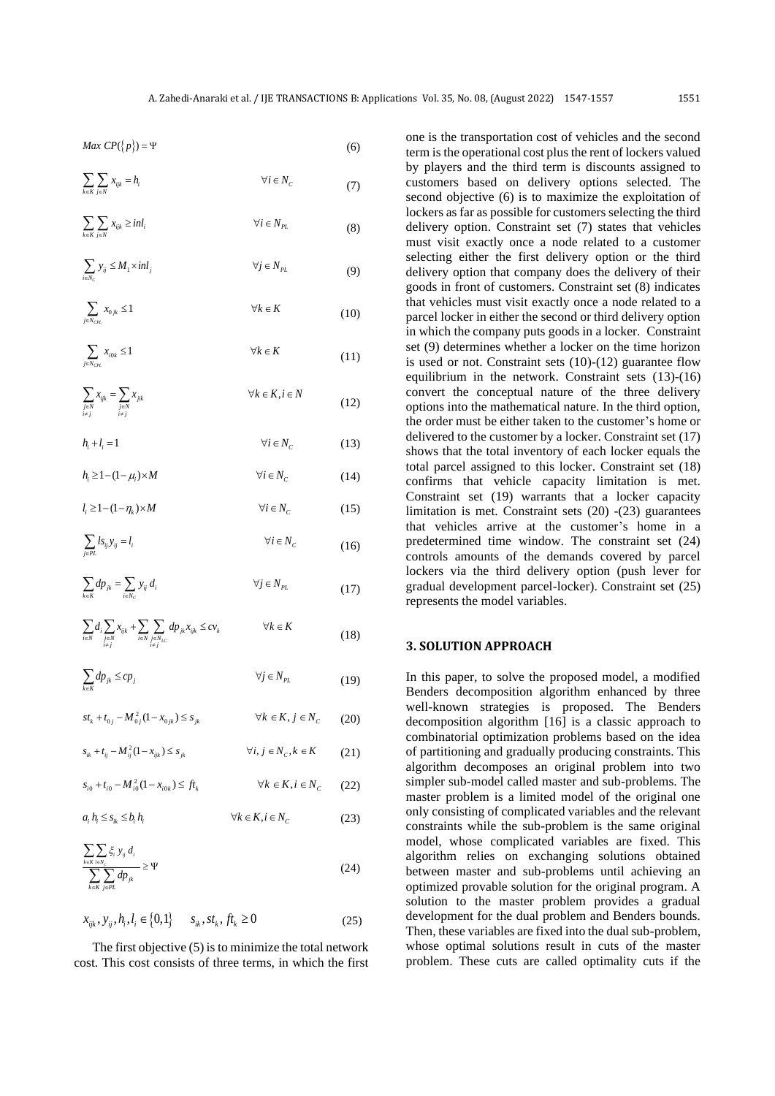(6)

(8)

(22)

*Max*  $CP({p}) = \Psi$ 

$$
Max CP({p}) = \Psi
$$
\n
$$
\sum_{k \in K} \sum_{j \in N} x_{ijk} = h_i
$$
\n
$$
\forall i \in N_C
$$
\n(7)

$$
\sum_{i \in N_C} y_{ij} \le M_1 \times inl_j \qquad \forall j \in N_{PL} \tag{9}
$$

 $\sum X_{ijk} \geq inl_i$   $\forall i \in N_{PL}$ 

$$
\sum_{j \in N_{CH}} x_{0jk} \le 1 \qquad \forall k \in K \tag{10}
$$

$$
\sum_{j \in N_{CH.}} x_{i0k} \le 1 \qquad \forall k \in K
$$
 (11)

$$
\sum_{\substack{j\in N\\i\neq j}} x_{ijk} = \sum_{\substack{j\in N\\i\neq j}} x_{jik} \qquad \qquad \forall k \in K, i \in N
$$
\n(12)

$$
h_i + l_i = 1 \qquad \qquad \forall i \in N_C \tag{13}
$$

 $h_i \geq 1 - (1 - \mu_i) \times M$   $\forall i \in N_c$ (14)  $l_i \geq 1 - (1 - \eta_i) \times M$   $\forall i \in N_c$  $(15)$ 

$$
\sum_{j \in PL} l s_{ij} y_{ij} = l_i \qquad \forall i \in N_C \qquad (16)
$$

$$
\sum_{k \in K} dp_{jk} = \sum_{i \in N_C} y_{ij} d_i \qquad \forall j \in N_{PL} \qquad (17)
$$

$$
\sum_{i \in N} d_i \sum_{i \in N} x_{ijk} + \sum_{i \in N} \sum_{\substack{j \in N \\ j \neq j}} dp_{jk} x_{ijk} \leq c v_k \qquad \forall k \in K
$$
\n(18)

$$
\sum_{k \in K} dp_{jk} \le cp_j \qquad \forall j \in N_{PL} \tag{19}
$$

 $st_k + t_{0j} - M_{0j}^2 (1 - x_{0jk}) \le s_{jk}$   $\forall k \in K, j \in N_c$ (20)  $(s_{ik} + t_{ij} - M_{ij}^2 (1 - x_{ijk}) \le s_{jk}$   $\forall i, j \in N_C, k \in K$ 

(21)  $s_{i0} + t_{i0} - M_{i0}^2 (1 - x_{i0k}) \leq ft_k$   $\forall k \in K, i \in N_C$ 

2

2

$$
a_i h_i \le s_{ik} \le b_i h_i \qquad \forall k \in K, i \in N_C \tag{23}
$$

$$
\frac{\sum_{k\in K} \sum_{i\in N_c} \xi_i y_{ij} d_i}{\sum_{k\in K} \sum_{j\in PL} dp_{jk}} \ge \Psi \tag{24}
$$

$$
x_{ijk}, y_{ij}, h_i, l_i \in \{0, 1\} \qquad s_{ik}, st_k, ft_k \ge 0 \tag{25}
$$

The first objective (5) is to minimize the total network cost. This cost consists of three terms, in which the first

one is the transportation cost of vehicles and the second term is the operational cost plus the rent of lockers valued by players and the third term is discounts assigned to customers based on delivery options selected. The second objective (6) is to maximize the exploitation of lockers as far as possible for customers selecting the third delivery option. Constraint set (7) states that vehicles must visit exactly once a node related to a customer selecting either the first delivery option or the third delivery option that company does the delivery of their goods in front of customers. Constraint set (8) indicates that vehicles must visit exactly once a node related to a parcel locker in either the second or third delivery option in which the company puts goods in a locker. Constraint set (9) determines whether a locker on the time horizon is used or not. Constraint sets (10)-(12) guarantee flow equilibrium in the network. Constraint sets (13)-(16) convert the conceptual nature of the three delivery options into the mathematical nature. In the third option, the order must be either taken to the customer's home or delivered to the customer by a locker. Constraint set (17) shows that the total inventory of each locker equals the total parcel assigned to this locker. Constraint set (18) confirms that vehicle capacity limitation is met. Constraint set (19) warrants that a locker capacity limitation is met. Constraint sets (20) -(23) guarantees that vehicles arrive at the customer's home in a predetermined time window. The constraint set (24) controls amounts of the demands covered by parcel lockers via the third delivery option (push lever for gradual development parcel-locker). Constraint set (25) represents the model variables.

# **3. SOLUTION APPROACH**

In this paper, to solve the proposed model, a modified Benders decomposition algorithm enhanced by three well-known strategies is proposed. The Benders decomposition algorithm [16] is a classic approach to combinatorial optimization problems based on the idea of partitioning and gradually producing constraints. This algorithm decomposes an original problem into two simpler sub-model called master and sub-problems. The master problem is a limited model of the original one only consisting of complicated variables and the relevant constraints while the sub-problem is the same original model, whose complicated variables are fixed. This algorithm relies on exchanging solutions obtained between master and sub-problems until achieving an optimized provable solution for the original program. A solution to the master problem provides a gradual development for the dual problem and Benders bounds. Then, these variables are fixed into the dual sub-problem, whose optimal solutions result in cuts of the master problem. These cuts are called optimality cuts if the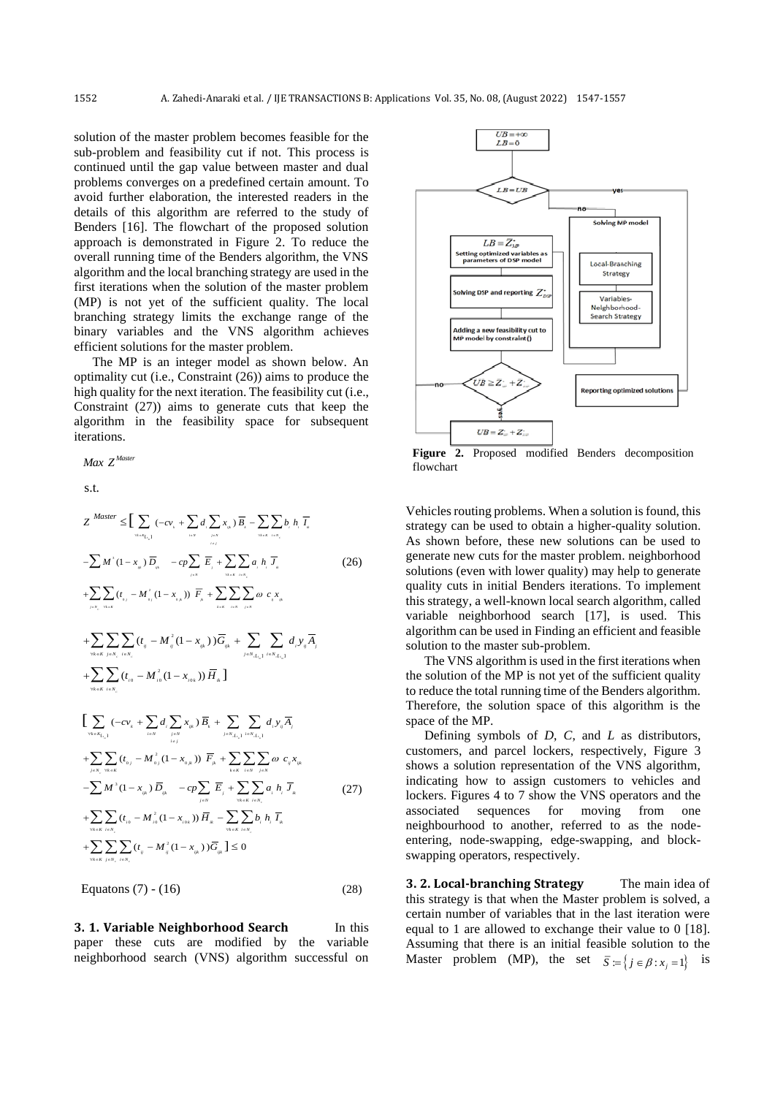solution of the master problem becomes feasible for the sub-problem and feasibility cut if not. This process is continued until the gap value between master and dual problems converges on a predefined certain amount. To avoid further elaboration, the interested readers in the details of this algorithm are referred to the study of Benders [16]. The flowchart of the proposed solution approach is demonstrated in Figure 2. To reduce the overall running time of the Benders algorithm, the VNS algorithm and the local branching strategy are used in the first iterations when the solution of the master problem (MP) is not yet of the sufficient quality. The local branching strategy limits the exchange range of the binary variables and the VNS algorithm achieves efficient solutions for the master problem.

The MP is an integer model as shown below. An optimality cut (i.e., Constraint (26)) aims to produce the high quality for the next iteration. The feasibility cut (i.e., Constraint (27)) aims to generate cuts that keep the algorithm in the feasibility space for subsequent iterations.

*Master Max <sup>Z</sup>*

s.t.

$$
Z^{Master} \leq \left[ \sum_{\alpha = x_{[,1]}} (-cv_{,1} + \sum_{i \in N} d_{,1} \sum_{j \in N} x_{j_{i}}) \overline{B}_{,} - \sum_{\alpha = x_{[,i,N]}} b_{,j} h_{,1} \overline{I}_{a} \right]
$$
  

$$
- \sum M^{2} (1 - x_{j_{i}}) \overline{D}_{j_{i}} - cp \sum_{j \in N} \overline{E}_{,j} + \sum_{\alpha \in X} \sum_{i \in N_{i}} a_{,j} h_{,1} \overline{J}_{a}
$$
  

$$
+ \sum_{j \in N} \sum_{i \in N_{i}} (t_{i_{j}} - M^{2}_{i_{j}} (1 - x_{i_{j,k}})) \overline{F}_{,s} + \sum_{i \in X} \sum_{i \in N} \sum_{j \in N} \omega c_{,s} x_{j_{i}} + \sum_{\gamma \in X} \sum_{i \in N_{i}} (t_{ij} - M^{2}_{ij} (1 - x_{j_{k}})) \overline{G}_{ijk} + \sum_{j \in N_{i \in I, j}} \sum_{i \in N_{i \in J, j}} d_{,1} y_{ij} \overline{A}_{,j}
$$
  

$$
+ \sum_{\forall k \in K} \sum_{j \in N_{i}} (t_{i_{j}} - M^{2}_{ij} (1 - x_{j_{i,k}})) \overline{H}_{j_{k}} \right]
$$
  

$$
+ \sum_{\forall k \in K} \sum_{i \in N_{i}} (t_{i_{j}} - M^{2}_{i_{j}} (1 - x_{i_{j,k}})) \overline{H}_{j_{k}} \right]
$$

$$
\sum_{\forall i \in K} (-cv_i + \sum_{i \in N} d_i \sum_{j \in N} x_{ijk}) \overline{B}_i + \sum_{j \in N, \{i, j\}} \sum_{i \in N} d_j y_{ij} \overline{A}_j
$$
  
+ 
$$
\sum_{j \in N, \forall i \in K} (t_{0j} - M_{0j}^2 (1 - x_{0jk})) \overline{F}_j + \sum_{k \in K} \sum_{i \in N} \sum_{j \in N} \omega c_{ij} x_{ijk}
$$
  
-
$$
\sum M^3 (1 - x_{ijk}) \overline{D}_{ijk} - cp \sum_{j \in N} \overline{E}_j + \sum_{\forall i \in K} \sum_{i \in N} a_i h_i \overline{J}_k
$$
  
+
$$
\sum_{\forall i \in K} \sum_{i \in N_i} (t_{i0} - M_{i0}^2 (1 - x_{i0k})) \overline{H}_k - \sum_{\forall i \in K} \sum_{i \in N_i} b_i h_i \overline{I}_k
$$
  
+
$$
\sum_{\forall i \in K} \sum_{i \in N_i} (t_{i0} - M_{i0}^2 (1 - x_{i0k})) \overline{G}_{ijk} \leq 0
$$
(27)

Equatons  $(7) - (16)$  (28)

**3. 1. Variable Neighborhood Search** In this paper these cuts are modified by the variable neighborhood search (VNS) algorithm successful on



**Figure 2.** Proposed modified Benders decomposition flowchart

Vehicles routing problems. When a solution is found, this strategy can be used to obtain a higher-quality solution. As shown before, these new solutions can be used to generate new cuts for the master problem. neighborhood solutions (even with lower quality) may help to generate quality cuts in initial Benders iterations. To implement this strategy, a well-known local search algorithm, called variable neighborhood search [17], is used. This algorithm can be used in Finding an efficient and feasible solution to the master sub-problem.

The VNS algorithm is used in the first iterations when the solution of the MP is not yet of the sufficient quality to reduce the total running time of the Benders algorithm. Therefore, the solution space of this algorithm is the space of the MP.

Defining symbols of *D*, *C*, and *L* as distributors, customers, and parcel lockers, respectively, Figure 3 shows a solution representation of the VNS algorithm, indicating how to assign customers to vehicles and lockers. Figures 4 to 7 show the VNS operators and the associated sequences for moving from one neighbourhood to another, referred to as the nodeentering, node-swapping, edge-swapping, and blockswapping operators, respectively.

**3. 2. Local-branching Strategy** The main idea of this strategy is that when the Master problem is solved, a certain number of variables that in the last iteration were equal to 1 are allowed to exchange their value to 0 [18]. Assuming that there is an initial feasible solution to the Master problem (MP), the set  $\overline{S} := \{j \in \beta : x_j = 1\}$ is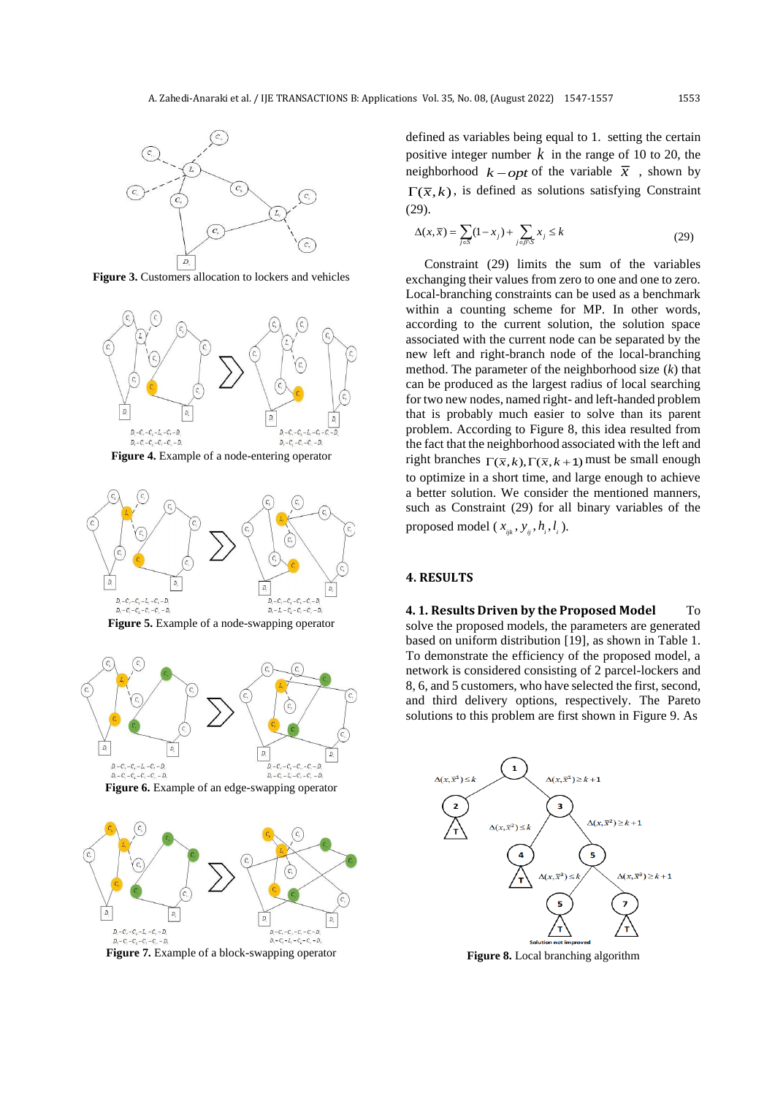

**Figure 3.** Customers allocation to lockers and vehicles







**Figure 6.** Example of an edge-swapping operator



**Figure 7.** Example of a block-swapping operator

defined as variables being equal to 1. setting the certain positive integer number  $k$  in the range of 10 to 20, the neighborhood  $k$  – *opt* of the variable  $\bar{x}$ , shown by  $\Gamma(\overline{x}, k)$ , is defined as solutions satisfying Constraint (29).

$$
\Delta(x,\overline{x}) = \sum_{j\in S} (1-x_j) + \sum_{j\in\beta\setminus S} x_j \le k \tag{29}
$$

Constraint (29) limits the sum of the variables exchanging their values from zero to one and one to zero. Local-branching constraints can be used as a benchmark within a counting scheme for MP. In other words, according to the current solution, the solution space associated with the current node can be separated by the new left and right-branch node of the local-branching method. The parameter of the neighborhood size (*k*) that can be produced as the largest radius of local searching for two new nodes, named right- and left-handed problem that is probably much easier to solve than its parent problem. According to Figure 8, this idea resulted from the fact that the neighborhood associated with the left and right branches  $\Gamma(\bar{x}, k)$ ,  $\Gamma(\bar{x}, k+1)$  must be small enough to optimize in a short time, and large enough to achieve a better solution. We consider the mentioned manners, such as Constraint (29) for all binary variables of the proposed model ( $x_{ijk}$ ,  $y_{ij}$ ,  $h_i$ ,  $l_i$ ).

# **4. RESULTS**

**4. 1. Results Driven by the Proposed Model** To solve the proposed models, the parameters are generated based on uniform distribution [19], as shown in Table 1. To demonstrate the efficiency of the proposed model, a network is considered consisting of 2 parcel-lockers and 8, 6, and 5 customers, who have selected the first, second, and third delivery options, respectively. The Pareto solutions to this problem are first shown in Figure 9. As



**Figure 8.** Local branching algorithm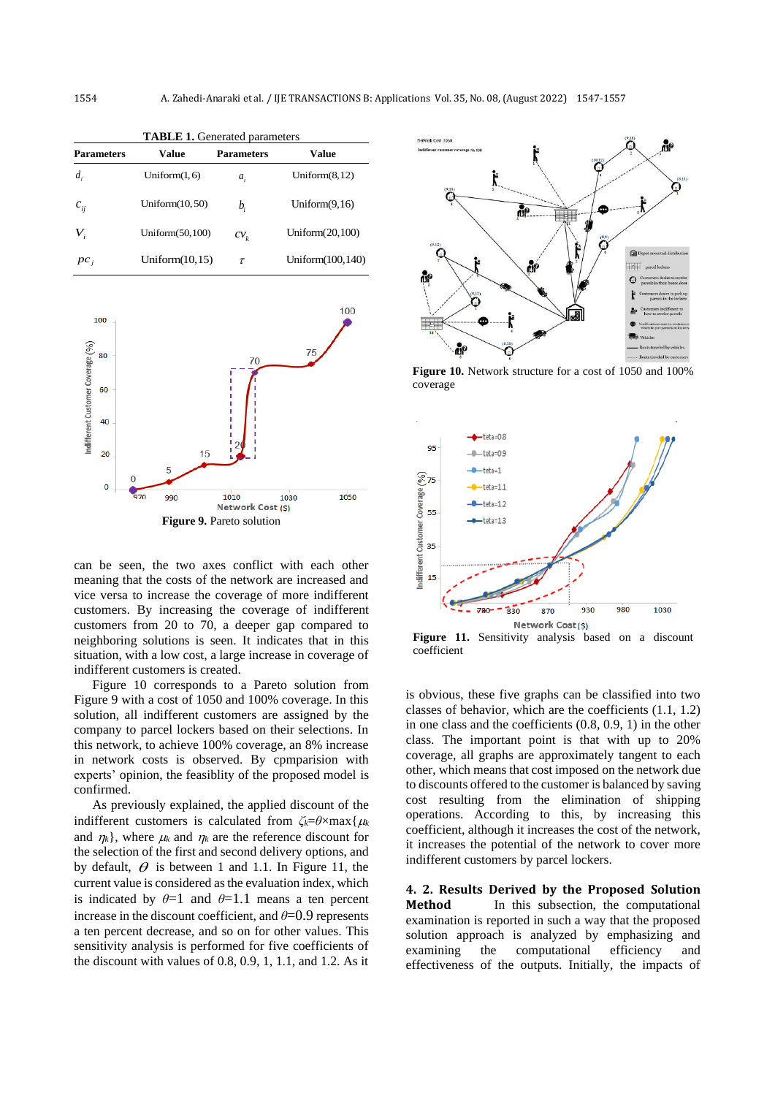| <b>TABLE 1.</b> Generated parameters |                    |                   |                    |  |  |  |
|--------------------------------------|--------------------|-------------------|--------------------|--|--|--|
| <b>Parameters</b>                    | Value              | <b>Parameters</b> | Value              |  |  |  |
| $d_{i}$                              | Uniform $(1, 6)$   | $a_i$             | Uniform $(8,12)$   |  |  |  |
| $c_{ij}$                             | Uniform $(10, 50)$ | $b_{i}$           | Uniform $(9,16)$   |  |  |  |
| $V_{i}$                              | Uniform(50,100)    | $CV_{\nu}$        | Uniform $(20,100)$ |  |  |  |
| $pc_{i}$                             | Uniform $(10,15)$  | $\tau$            | Uniform(100,140)   |  |  |  |



can be seen, the two axes conflict with each other meaning that the costs of the network are increased and vice versa to increase the coverage of more indifferent customers. By increasing the coverage of indifferent customers from 20 to 70, a deeper gap compared to neighboring solutions is seen. It indicates that in this situation, with a low cost, a large increase in coverage of indifferent customers is created.

Figure 10 corresponds to a Pareto solution from Figure 9 with a cost of 1050 and 100% coverage. In this solution, all indifferent customers are assigned by the company to parcel lockers based on their selections. In this network, to achieve 100% coverage, an 8% increase in network costs is observed. By cpmparision with experts' opinion, the feasiblity of the proposed model is confirmed.

As previously explained, the applied discount of the indifferent customers is calculated from  $\zeta_k = \theta \times \max{\{\mu_k\}}$ and  $\eta_k$ , where  $\mu_k$  and  $\eta_k$  are the reference discount for the selection of the first and second delivery options, and by default,  $\theta$  is between 1 and 1.1. In Figure 11, the current value is considered as the evaluation index, which is indicated by  $\theta = 1$  and  $\theta = 1.1$  means a ten percent increase in the discount coefficient, and  $\theta$ =0.9 represents a ten percent decrease, and so on for other values. This sensitivity analysis is performed for five coefficients of the discount with values of 0.8, 0.9, 1, 1.1, and 1.2. As it



**Figure 10.** Network structure for a cost of 1050 and 100% coverage



**Figure 11.** Sensitivity analysis based on a discount coefficient

is obvious, these five graphs can be classified into two classes of behavior, which are the coefficients (1.1, 1.2) in one class and the coefficients (0.8, 0.9, 1) in the other class. The important point is that with up to 20% coverage, all graphs are approximately tangent to each other, which means that cost imposed on the network due to discounts offered to the customer is balanced by saving cost resulting from the elimination of shipping operations. According to this, by increasing this coefficient, although it increases the cost of the network, it increases the potential of the network to cover more indifferent customers by parcel lockers.

**4. 2. Results Derived by the Proposed Solution Method** In this subsection, the computational examination is reported in such a way that the proposed solution approach is analyzed by emphasizing and examining the computational efficiency and effectiveness of the outputs. Initially, the impacts of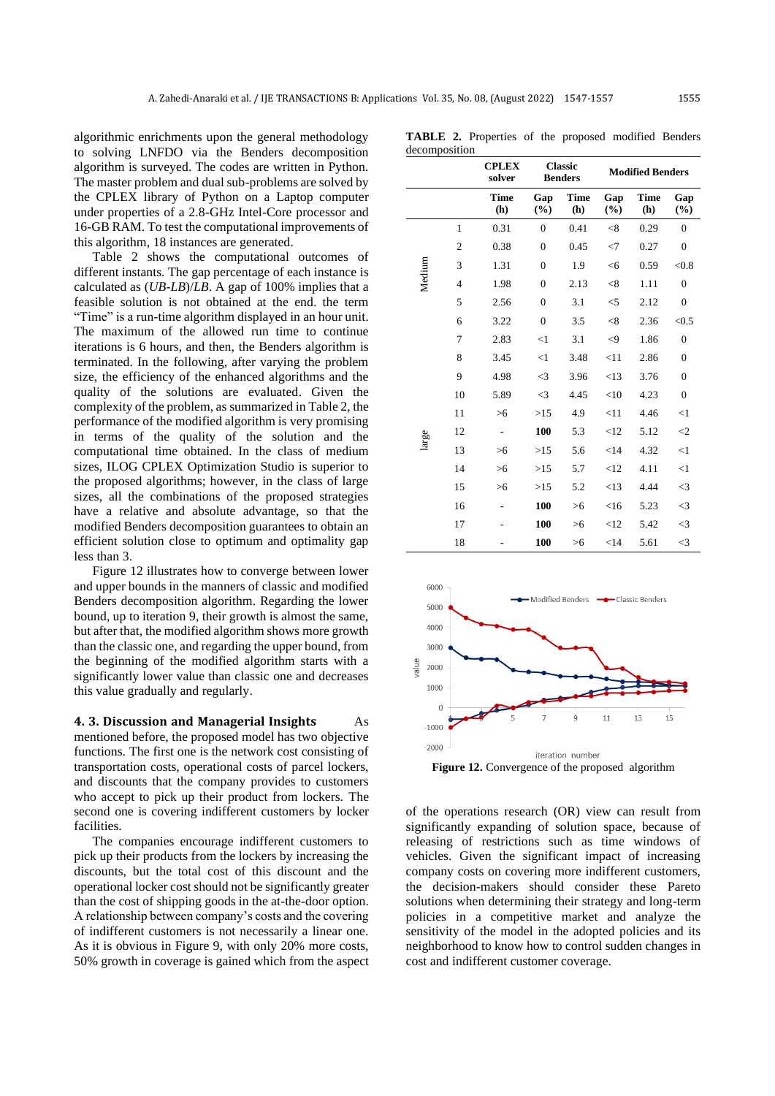algorithmic enrichments upon the general methodology to solving LNFDO via the Benders decomposition algorithm is surveyed. The codes are written in Python. The master problem and dual sub-problems are solved by the CPLEX library of Python on a Laptop computer under properties of a 2.8-GHz Intel-Core processor and 16-GB RAM. To test the computational improvements of this algorithm, 18 instances are generated.

Table 2 shows the computational outcomes of different instants. The gap percentage of each instance is calculated as (*UB*-*LB*)/*LB*. A gap of 100% implies that a feasible solution is not obtained at the end. the term "Time" is a run-time algorithm displayed in an hour unit. The maximum of the allowed run time to continue iterations is 6 hours, and then, the Benders algorithm is terminated. In the following, after varying the problem size, the efficiency of the enhanced algorithms and the quality of the solutions are evaluated. Given the complexity of the problem, as summarized in Table 2, the performance of the modified algorithm is very promising in terms of the quality of the solution and the computational time obtained. In the class of medium sizes, ILOG CPLEX Optimization Studio is superior to the proposed algorithms; however, in the class of large sizes, all the combinations of the proposed strategies have a relative and absolute advantage, so that the modified Benders decomposition guarantees to obtain an efficient solution close to optimum and optimality gap less than 3.

Figure 12 illustrates how to converge between lower and upper bounds in the manners of classic and modified Benders decomposition algorithm. Regarding the lower bound, up to iteration 9, their growth is almost the same, but after that, the modified algorithm shows more growth than the classic one, and regarding the upper bound, from the beginning of the modified algorithm starts with a significantly lower value than classic one and decreases this value gradually and regularly.

**4. 3. Discussion and Managerial Insights** As mentioned before, the proposed model has two objective functions. The first one is the network cost consisting of transportation costs, operational costs of parcel lockers, and discounts that the company provides to customers who accept to pick up their product from lockers. The second one is covering indifferent customers by locker facilities.

The companies encourage indifferent customers to pick up their products from the lockers by increasing the discounts, but the total cost of this discount and the operational locker cost should not be significantly greater than the cost of shipping goods in the at-the-door option. A relationship between company's costs and the covering of indifferent customers is not necessarily a linear one. As it is obvious in Figure 9, with only 20% more costs, 50% growth in coverage is gained which from the aspect

|               | TABLE 2. Properties of the proposed modified Benders |  |  |  |
|---------------|------------------------------------------------------|--|--|--|
| decomposition |                                                      |  |  |  |

|        |                | <b>CPLEX</b><br>solver | <b>Classic</b><br><b>Benders</b> |                    | <b>Modified Benders</b> |                    |                  |
|--------|----------------|------------------------|----------------------------------|--------------------|-------------------------|--------------------|------------------|
|        |                | <b>Time</b><br>(h)     | Gap<br>(%)                       | <b>Time</b><br>(h) | Gap<br>(%)              | <b>Time</b><br>(h) | Gap<br>(%)       |
| Medium | 1              | 0.31                   | $\overline{0}$                   | 0.41               | < 8                     | 0.29               | $\mathbf{0}$     |
|        | $\overline{c}$ | 0.38                   | $\overline{0}$                   | 0.45               | $<$ 7                   | 0.27               | $\mathbf{0}$     |
|        | 3              | 1.31                   | $\theta$                         | 1.9                | $<$ 6                   | 0.59               | < 0.8            |
|        | $\overline{4}$ | 1.98                   | $\overline{0}$                   | 2.13               | < 8                     | 1.11               | $\boldsymbol{0}$ |
|        | 5              | 2.56                   | $\overline{0}$                   | 3.1                | $<$ 5                   | 2.12               | $\boldsymbol{0}$ |
|        | 6              | 3.22                   | $\overline{0}$                   | 3.5                | < 8                     | 2.36               | < 0.5            |
|        | 7              | 2.83                   | <1                               | 3.1                | $\leq$ 9                | 1.86               | $\boldsymbol{0}$ |
|        | 8              | 3.45                   | $<$ 1                            | 3.48               | <11                     | 2.86               | $\overline{0}$   |
|        | 9              | 4.98                   | $<$ 3                            | 3.96               | <13                     | 3.76               | $\boldsymbol{0}$ |
|        | 10             | 5.89                   | $<$ 3                            | 4.45               | $<$ 10                  | 4.23               | $\overline{0}$   |
|        | 11             | $>6$                   | $>15$                            | 4.9                | <11                     | 4.46               | $\leq$ 1         |
| large  | 12             |                        | 100                              | 5.3                | <12                     | 5.12               | $\leq$           |
|        | 13             | >6                     | $>15$                            | 5.6                | $<$ 14                  | 4.32               | $\leq$ 1         |
|        | 14             | >6                     | $>15$                            | 5.7                | <12                     | 4.11               | $\leq$ 1         |
|        | 15             | >6                     | $>15$                            | 5.2                | <13                     | 4.44               | $\leq$ 3         |
|        | 16             |                        | 100                              | >6                 | $<$ 16                  | 5.23               | $\leq$ 3         |
|        | 17             |                        | 100                              | >6                 | <12                     | 5.42               | $\leq$ 3         |
|        | 18             |                        | 100                              | >6                 | $<$ 14                  | 5.61               | $\leq$ 3         |



**Figure 12.** Convergence of the proposed algorithm

of the operations research (OR) view can result from significantly expanding of solution space, because of releasing of restrictions such as time windows of vehicles. Given the significant impact of increasing company costs on covering more indifferent customers, the decision-makers should consider these Pareto solutions when determining their strategy and long-term policies in a competitive market and analyze the sensitivity of the model in the adopted policies and its neighborhood to know how to control sudden changes in cost and indifferent customer coverage.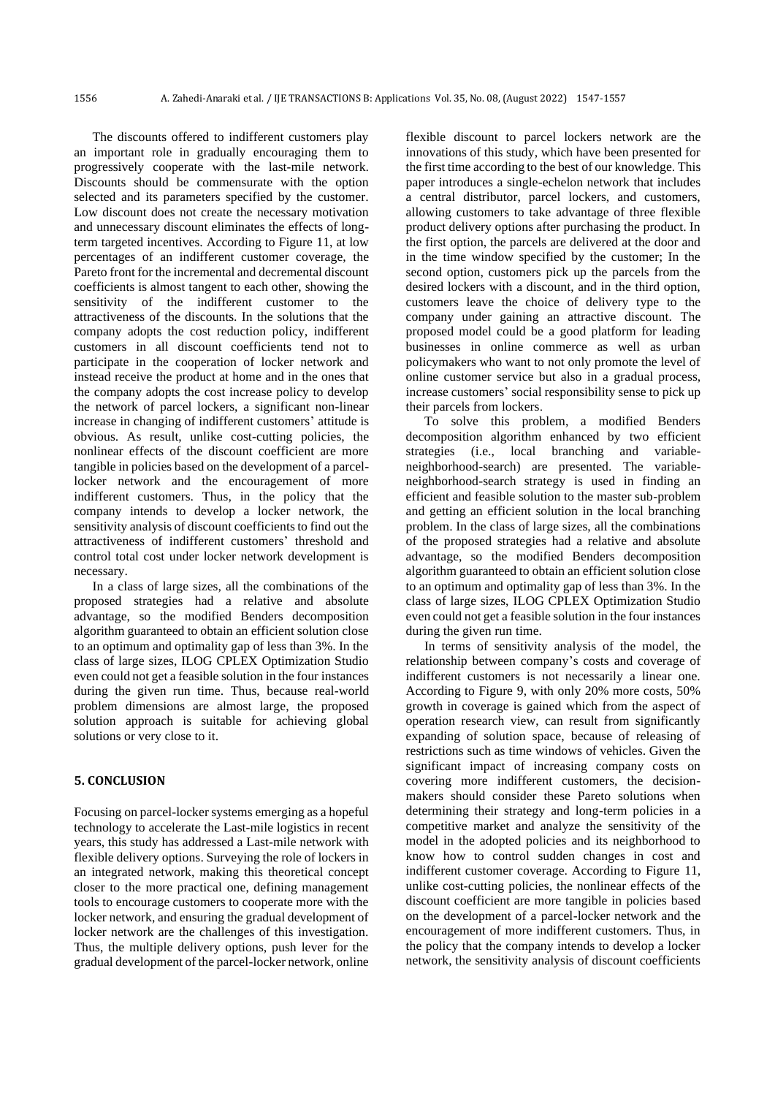The discounts offered to indifferent customers play an important role in gradually encouraging them to progressively cooperate with the last-mile network. Discounts should be commensurate with the option selected and its parameters specified by the customer. Low discount does not create the necessary motivation and unnecessary discount eliminates the effects of longterm targeted incentives. According to Figure 11, at low percentages of an indifferent customer coverage, the Pareto front for the incremental and decremental discount coefficients is almost tangent to each other, showing the sensitivity of the indifferent customer to the attractiveness of the discounts. In the solutions that the company adopts the cost reduction policy, indifferent customers in all discount coefficients tend not to participate in the cooperation of locker network and instead receive the product at home and in the ones that the company adopts the cost increase policy to develop the network of parcel lockers, a significant non-linear increase in changing of indifferent customers' attitude is obvious. As result, unlike cost-cutting policies, the nonlinear effects of the discount coefficient are more tangible in policies based on the development of a parcellocker network and the encouragement of more indifferent customers. Thus, in the policy that the company intends to develop a locker network, the sensitivity analysis of discount coefficients to find out the attractiveness of indifferent customers' threshold and control total cost under locker network development is necessary.

In a class of large sizes, all the combinations of the proposed strategies had a relative and absolute advantage, so the modified Benders decomposition algorithm guaranteed to obtain an efficient solution close to an optimum and optimality gap of less than 3%. In the class of large sizes, ILOG CPLEX Optimization Studio even could not get a feasible solution in the four instances during the given run time. Thus, because real-world problem dimensions are almost large, the proposed solution approach is suitable for achieving global solutions or very close to it.

#### **5. CONCLUSION**

Focusing on parcel-locker systems emerging as a hopeful technology to accelerate the Last-mile logistics in recent years, this study has addressed a Last-mile network with flexible delivery options. Surveying the role of lockers in an integrated network, making this theoretical concept closer to the more practical one, defining management tools to encourage customers to cooperate more with the locker network, and ensuring the gradual development of locker network are the challenges of this investigation. Thus, the multiple delivery options, push lever for the gradual development of the parcel-locker network, online flexible discount to parcel lockers network are the innovations of this study, which have been presented for the first time according to the best of our knowledge. This paper introduces a single-echelon network that includes a central distributor, parcel lockers, and customers, allowing customers to take advantage of three flexible product delivery options after purchasing the product. In the first option, the parcels are delivered at the door and in the time window specified by the customer; In the second option, customers pick up the parcels from the desired lockers with a discount, and in the third option, customers leave the choice of delivery type to the company under gaining an attractive discount. The proposed model could be a good platform for leading businesses in online commerce as well as urban policymakers who want to not only promote the level of online customer service but also in a gradual process, increase customers' social responsibility sense to pick up their parcels from lockers.

To solve this problem, a modified Benders decomposition algorithm enhanced by two efficient strategies (i.e., local branching and variableneighborhood-search) are presented. The variableneighborhood-search strategy is used in finding an efficient and feasible solution to the master sub-problem and getting an efficient solution in the local branching problem. In the class of large sizes, all the combinations of the proposed strategies had a relative and absolute advantage, so the modified Benders decomposition algorithm guaranteed to obtain an efficient solution close to an optimum and optimality gap of less than 3%. In the class of large sizes, ILOG CPLEX Optimization Studio even could not get a feasible solution in the four instances during the given run time.

In terms of sensitivity analysis of the model, the relationship between company's costs and coverage of indifferent customers is not necessarily a linear one. According to Figure 9, with only 20% more costs, 50% growth in coverage is gained which from the aspect of operation research view, can result from significantly expanding of solution space, because of releasing of restrictions such as time windows of vehicles. Given the significant impact of increasing company costs on covering more indifferent customers, the decisionmakers should consider these Pareto solutions when determining their strategy and long-term policies in a competitive market and analyze the sensitivity of the model in the adopted policies and its neighborhood to know how to control sudden changes in cost and indifferent customer coverage. According to Figure 11, unlike cost-cutting policies, the nonlinear effects of the discount coefficient are more tangible in policies based on the development of a parcel-locker network and the encouragement of more indifferent customers. Thus, in the policy that the company intends to develop a locker network, the sensitivity analysis of discount coefficients